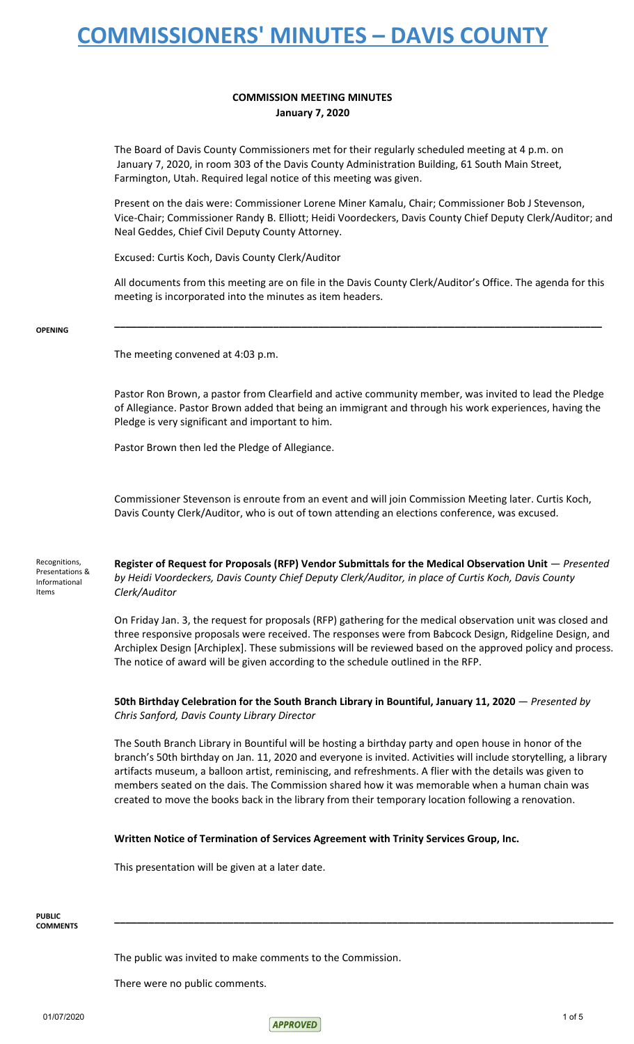### **COMMISSION MEETING MINUTES January 7, 2020**

The Board of Davis County Commissioners met for their regularly scheduled meeting at 4 p.m. on January 7, 2020, in room 303 of the Davis County Administration Building, 61 South Main Street, Farmington, Utah. Required legal notice of this meeting was given.

Present on the dais were: Commissioner Lorene Miner Kamalu, Chair; Commissioner Bob J Stevenson, Vice-Chair; Commissioner Randy B. Elliott; Heidi Voordeckers, Davis County Chief Deputy Clerk/Auditor; and Neal Geddes, Chief Civil Deputy County Attorney.

Excused: Curtis Koch, Davis County Clerk/Auditor

All documents from this meeting are on file in the Davis County Clerk/Auditor's Office. The agenda for this meeting is incorporated into the minutes as item headers.

**\_\_\_\_\_\_\_\_\_\_\_\_\_\_\_\_\_\_\_\_\_\_\_\_\_\_\_\_\_\_\_\_\_\_\_\_\_\_\_\_\_\_\_\_\_\_\_\_\_\_\_\_\_\_\_\_\_\_\_\_\_\_\_\_\_\_\_\_\_\_\_\_\_\_\_\_\_\_\_\_\_\_\_\_\_\_**

#### **OPENING**

The meeting convened at 4:03 p.m.

Pastor Ron Brown, a pastor from Clearfield and active community member, was invited to lead the Pledge of Allegiance. Pastor Brown added that being an immigrant and through his work experiences, having the Pledge is very significant and important to him.

Pastor Brown then led the Pledge of Allegiance.

Commissioner Stevenson is enroute from an event and will join Commission Meeting later. Curtis Koch, Davis County Clerk/Auditor, who is out of town attending an elections conference, was excused.

Recognitions, Presentations & Informational Items

**Register of Request for Proposals (RFP) Vendor Submittals for the Medical Observation Unit** — *Presented by Heidi Voordeckers, Davis County Chief Deputy Clerk/Auditor, in place of Curtis Koch, Davis County Clerk/Auditor*

On Friday Jan. 3, the request for proposals (RFP) gathering for the medical observation unit was closed and three responsive proposals were received. The responses were from Babcock Design, Ridgeline Design, and Archiplex Design [Archiplex]. These submissions will be reviewed based on the approved policy and process. The notice of award will be given according to the schedule outlined in the RFP.

**50th Birthday Celebration for the South Branch Library in Bountiful, January 11, 2020** — *Presented by Chris Sanford, Davis County Library Director*

The South Branch Library in Bountiful will be hosting a birthday party and open house in honor of the branch's 50th birthday on Jan. 11, 2020 and everyone is invited. Activities will include storytelling, a library artifacts museum, a balloon artist, reminiscing, and refreshments. A flier with the details was given to members seated on the dais. The Commission shared how it was memorable when a human chain was created to move the books back in the library from their temporary location following a renovation.

**\_\_\_\_\_\_\_\_\_\_\_\_\_\_\_\_\_\_\_\_\_\_\_\_\_\_\_\_\_\_\_\_\_\_\_\_\_\_\_\_\_\_\_\_\_\_\_\_\_\_\_\_\_\_\_\_\_\_\_\_\_\_\_\_\_\_\_\_\_\_\_\_\_\_\_\_\_\_\_\_\_\_\_\_\_\_\_\_**

#### **Written Notice of Termination of Services Agreement with Trinity Services Group, Inc.**

This presentation will be given at a later date.

**PUBLIC COMMENTS**

The public was invited to make comments to the Commission.

There were no public comments.

 $\sim$  01/07/2020 1 of 5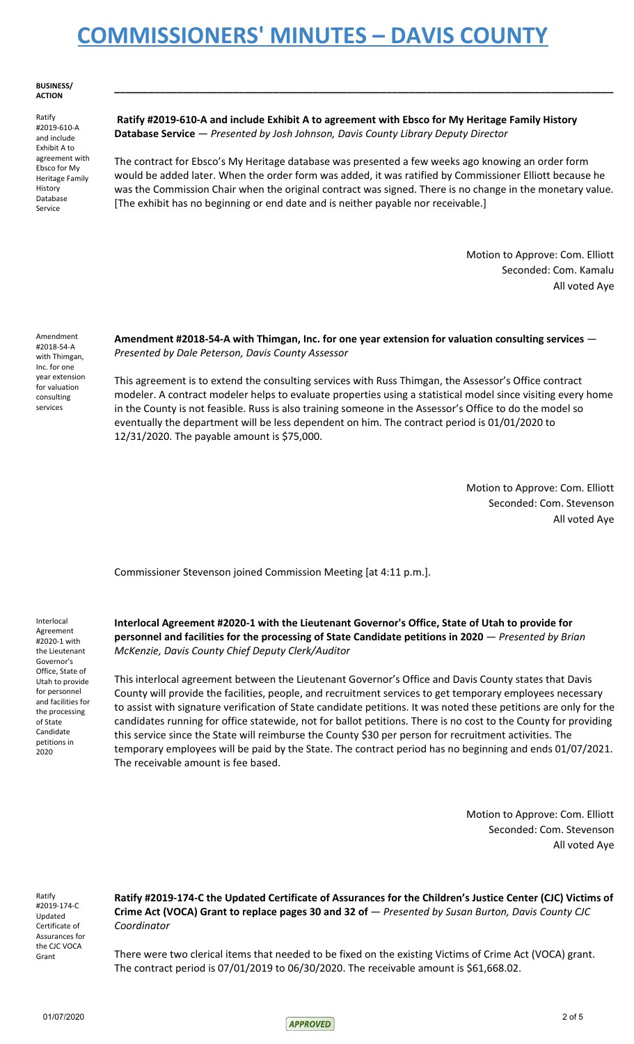**BUSINESS/ ACTION**

Ratify #2019-610-A and include Exhibit A to agreement with Ebsco for My Heritage Family History Database Service

**Ratify #2019-610-A and include Exhibit A to agreement with Ebsco for My Heritage Family History Database Service** — *Presented by Josh Johnson, Davis County Library Deputy Director*

The contract for Ebsco's My Heritage database was presented a few weeks ago knowing an order form would be added later. When the order form was added, it was ratified by Commissioner Elliott because he was the Commission Chair when the original contract was signed. There is no change in the monetary value. [The exhibit has no beginning or end date and is neither payable nor receivable.]

**\_\_\_\_\_\_\_\_\_\_\_\_\_\_\_\_\_\_\_\_\_\_\_\_\_\_\_\_\_\_\_\_\_\_\_\_\_\_\_\_\_\_\_\_\_\_\_\_\_\_\_\_\_\_\_\_\_\_\_\_\_\_\_\_\_\_\_\_\_\_\_\_\_\_\_\_\_\_\_\_\_\_\_\_\_\_\_\_**

Motion to Approve: Com. Elliott Seconded: Com. Kamalu All voted Aye

Amendment #2018-54-A with Thimgan, Inc. for one year extension for valuation consulting services

### **Amendment #2018-54-A with Thimgan, Inc. for one year extension for valuation consulting services** — *Presented by Dale Peterson, Davis County Assessor*

This agreement is to extend the consulting services with Russ Thimgan, the Assessor's Office contract modeler. A contract modeler helps to evaluate properties using a statistical model since visiting every home in the County is not feasible. Russ is also training someone in the Assessor's Office to do the model so eventually the department will be less dependent on him. The contract period is 01/01/2020 to 12/31/2020. The payable amount is \$75,000.

> Motion to Approve: Com. Elliott Seconded: Com. Stevenson All voted Aye

Commissioner Stevenson joined Commission Meeting [at 4:11 p.m.].

Interlocal Agreement #2020-1 with the Lieutenant Governor's Office, State of Utah to provide for personnel and facilities for the processing of State Candidate petitions in 2020

**Interlocal Agreement #2020-1 with the Lieutenant Governor's Office, State of Utah to provide for personnel and facilities for the processing of State Candidate petitions in 2020** — *Presented by Brian McKenzie, Davis County Chief Deputy Clerk/Auditor*

This interlocal agreement between the Lieutenant Governor's Office and Davis County states that Davis County will provide the facilities, people, and recruitment services to get temporary employees necessary to assist with signature verification of State candidate petitions. It was noted these petitions are only for the candidates running for office statewide, not for ballot petitions. There is no cost to the County for providing this service since the State will reimburse the County \$30 per person for recruitment activities. The temporary employees will be paid by the State. The contract period has no beginning and ends 01/07/2021. The receivable amount is fee based.

> Motion to Approve: Com. Elliott Seconded: Com. Stevenson All voted Aye

Ratify #2019-174-C Updated Certificate of Assurances for the CJC VOCA Grant

**Ratify #2019-174-C the Updated Certificate of Assurances for the Children's Justice Center (CJC) Victims of Crime Act (VOCA) Grant to replace pages 30 and 32 of** — *Presented by Susan Burton, Davis County CJC Coordinator*

There were two clerical items that needed to be fixed on the existing Victims of Crime Act (VOCA) grant. The contract period is 07/01/2019 to 06/30/2020. The receivable amount is \$61,668.02.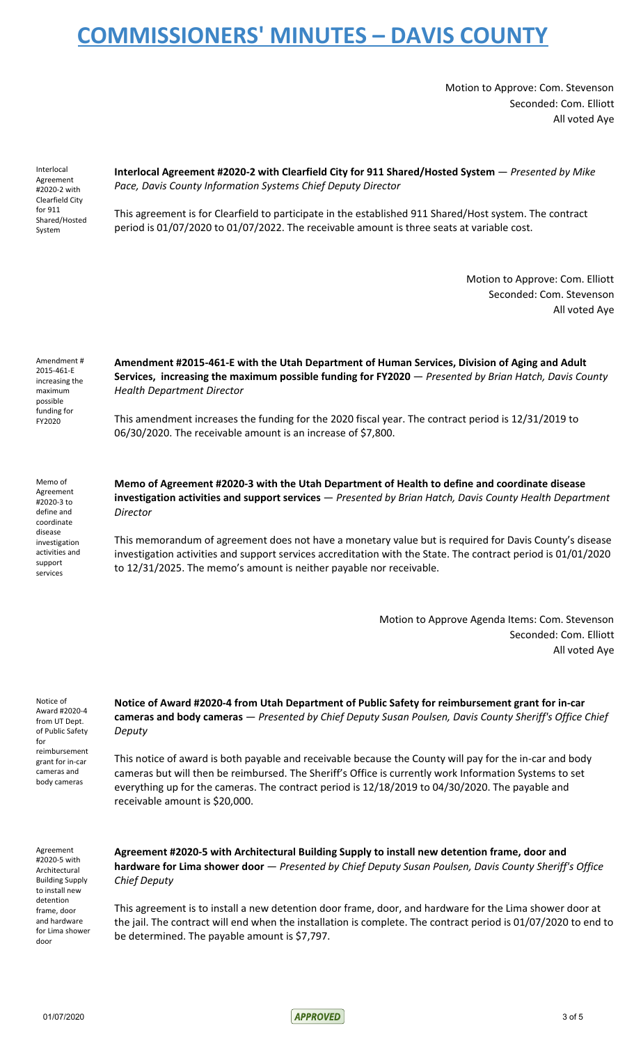Motion to Approve: Com. Stevenson Seconded: Com. Elliott All voted Aye

Interlocal Agreement #2020-2 with Clearfield City for 911 Shared/Hosted System

**Interlocal Agreement #2020-2 with Clearfield City for 911 Shared/Hosted System** — *Presented by Mike Pace, Davis County Information Systems Chief Deputy Director*

This agreement is for Clearfield to participate in the established 911 Shared/Host system. The contract period is 01/07/2020 to 01/07/2022. The receivable amount is three seats at variable cost.

> Motion to Approve: Com. Elliott Seconded: Com. Stevenson All voted Aye

Amendment # 2015-461-E increasing the maximum possible funding for FY2020

**Amendment #2015-461-E with the Utah Department of Human Services, Division of Aging and Adult Services, increasing the maximum possible funding for FY2020** — *Presented by Brian Hatch, Davis County Health Department Director*

This amendment increases the funding for the 2020 fiscal year. The contract period is 12/31/2019 to 06/30/2020. The receivable amount is an increase of \$7,800.

Memo of Agreement #2020-3 to define and coordinate disease investigation activities and support services

**Memo of Agreement #2020-3 with the Utah Department of Health to define and coordinate disease investigation activities and support services** — *Presented by Brian Hatch, Davis County Health Department Director*

This memorandum of agreement does not have a monetary value but is required for Davis County's disease investigation activities and support services accreditation with the State. The contract period is 01/01/2020 to 12/31/2025. The memo's amount is neither payable nor receivable.

> Motion to Approve Agenda Items: Com. Stevenson Seconded: Com. Elliott All voted Aye

Notice of Award #2020-4 from UT Dept. of Public Safety for reimbursement grant for in-car cameras and body cameras

**Notice of Award #2020-4 from Utah Department of Public Safety for reimbursement grant for in-car cameras and body cameras** — *Presented by Chief Deputy Susan Poulsen, Davis County Sheriff's Office Chief Deputy*

This notice of award is both payable and receivable because the County will pay for the in-car and body cameras but will then be reimbursed. The Sheriff's Office is currently work Information Systems to set everything up for the cameras. The contract period is 12/18/2019 to 04/30/2020. The payable and receivable amount is \$20,000.

Agreement #2020-5 with Architectural Building Supply to install new detention frame, door and hardware for Lima shower door

**Agreement #2020-5 with Architectural Building Supply to install new detention frame, door and hardware for Lima shower door** — *Presented by Chief Deputy Susan Poulsen, Davis County Sheriff's Office Chief Deputy*

This agreement is to install a new detention door frame, door, and hardware for the Lima shower door at the jail. The contract will end when the installation is complete. The contract period is 01/07/2020 to end to be determined. The payable amount is \$7,797.

01/07/2020 3 of 5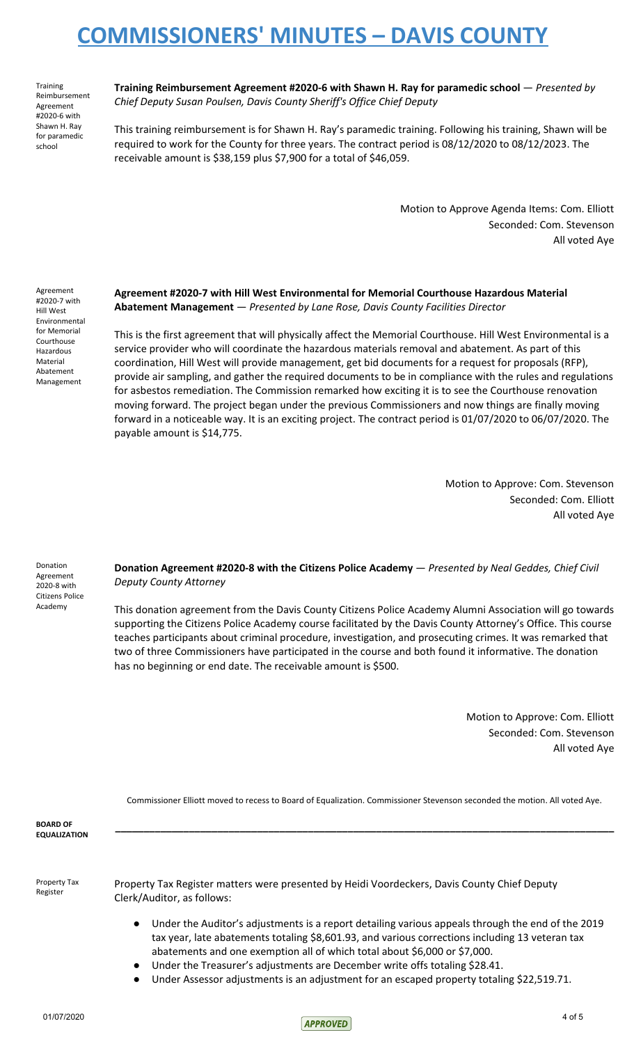Training Reimbursement Agreement #2020-6 with Shawn H. Ray for paramedic school

**Training Reimbursement Agreement #2020-6 with Shawn H. Ray for paramedic school** — *Presented by Chief Deputy Susan Poulsen, Davis County Sheriff's Office Chief Deputy*

This training reimbursement is for Shawn H. Ray's paramedic training. Following his training, Shawn will be required to work for the County for three years. The contract period is 08/12/2020 to 08/12/2023. The receivable amount is \$38,159 plus \$7,900 for a total of \$46,059.

> Motion to Approve Agenda Items: Com. Elliott Seconded: Com. Stevenson All voted Aye

Agreement #2020-7 with Hill West Environmental for Memorial Courthouse Hazardous Material Abatement Management

**Agreement #2020-7 with Hill West Environmental for Memorial Courthouse Hazardous Material Abatement Management** — *Presented by Lane Rose, Davis County Facilities Director*

This is the first agreement that will physically affect the Memorial Courthouse. Hill West Environmental is a service provider who will coordinate the hazardous materials removal and abatement. As part of this coordination, Hill West will provide management, get bid documents for a request for proposals (RFP), provide air sampling, and gather the required documents to be in compliance with the rules and regulations for asbestos remediation. The Commission remarked how exciting it is to see the Courthouse renovation moving forward. The project began under the previous Commissioners and now things are finally moving forward in a noticeable way. It is an exciting project. The contract period is 01/07/2020 to 06/07/2020. The payable amount is \$14,775.

> Motion to Approve: Com. Stevenson Seconded: Com. Elliott All voted Aye

Donation Agreement 2020-8 with Citizens Police Academy

**Donation Agreement #2020-8 with the Citizens Police Academy** — *Presented by Neal Geddes, Chief Civil Deputy County Attorney*

This donation agreement from the Davis County Citizens Police Academy Alumni Association will go towards supporting the Citizens Police Academy course facilitated by the Davis County Attorney's Office. This course teaches participants about criminal procedure, investigation, and prosecuting crimes. It was remarked that two of three Commissioners have participated in the course and both found it informative. The donation has no beginning or end date. The receivable amount is \$500.

> Motion to Approve: Com. Elliott Seconded: Com. Stevenson All voted Aye

Commissioner Elliott moved to recess to Board of Equalization. Commissioner Stevenson seconded the motion. All voted Aye.

**\_\_\_\_\_\_\_\_\_\_\_\_\_\_\_\_\_\_\_\_\_\_\_\_\_\_\_\_\_\_\_\_\_\_\_\_\_\_\_\_\_\_\_\_\_\_\_\_\_\_\_\_\_\_\_\_\_\_\_\_\_\_\_\_\_\_\_\_\_\_\_\_\_\_\_\_\_\_\_\_\_\_\_\_\_\_\_\_**

**BOARD OF EQUALIZATION**

Property Tax Register

Property Tax Register matters were presented by Heidi Voordeckers, Davis County Chief Deputy Clerk/Auditor, as follows:

- Under the Auditor's adjustments is a report detailing various appeals through the end of the 2019 tax year, late abatements totaling \$8,601.93, and various corrections including 13 veteran tax abatements and one exemption all of which total about \$6,000 or \$7,000.
	- Under the Treasurer's adjustments are December write offs totaling \$28.41.
- Under Assessor adjustments is an adjustment for an escaped property totaling \$22,519.71.